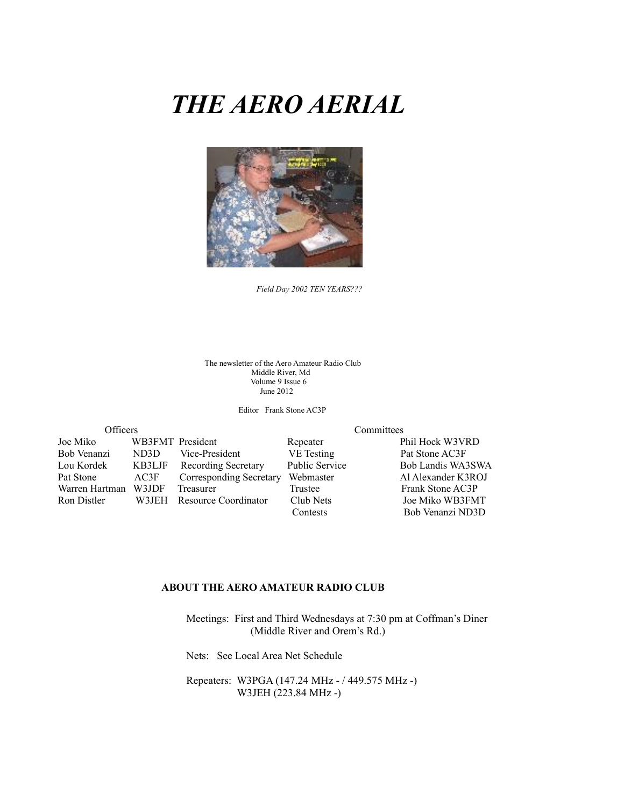# *THE AERO AERIAL*



*Field Day 2002 TEN YEARS???*

The newsletter of the Aero Amateur Radio Club Middle River, Md Volume 9 Issue 6 June 2012

Editor Frank Stone AC3P

| <b>Officers</b> |                  |                            | Committees            |                    |  |
|-----------------|------------------|----------------------------|-----------------------|--------------------|--|
| Joe Miko        | WB3FMT President |                            | Repeater              | Phil Hock W3VRD    |  |
| Bob Venanzi     | ND3D             | Vice-President             | <b>VE</b> Testing     | Pat Stone AC3F     |  |
| Lou Kordek      | KB3LJF           | <b>Recording Secretary</b> | <b>Public Service</b> | Bob Landis WA3SWA  |  |
| Pat Stone       | AC3F             | Corresponding Secretary    | Webmaster             | Al Alexander K3ROJ |  |
| Warren Hartman  | W3JDF            | Treasurer                  | Trustee               | Frank Stone AC3P   |  |
| Ron Distler     |                  | W3JEH Resource Coordinator | Club Nets             | Joe Miko WB3FMT    |  |
|                 |                  |                            | Contests              | Bob Venanzi ND3D   |  |

#### **ABOUT THE AERO AMATEUR RADIO CLUB**

 Meetings: First and Third Wednesdays at 7:30 pm at Coffman's Diner (Middle River and Orem's Rd.)

Nets: See Local Area Net Schedule

 Repeaters: W3PGA (147.24 MHz - / 449.575 MHz -) W3JEH (223.84 MHz -)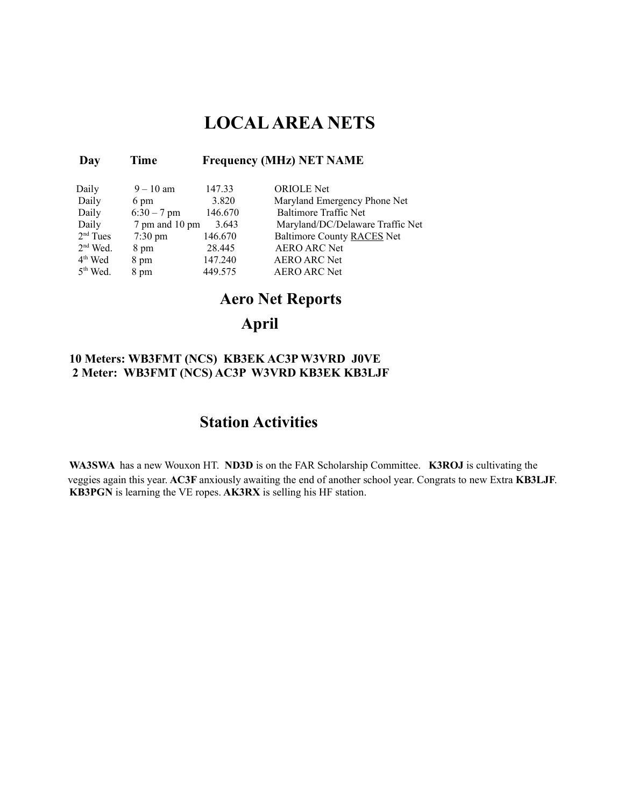## **LOCAL AREA NETS**

#### **Day Time Frequency (MHz) NET NAME**

| Daily      | $9 - 10$ am       | 147.33  | <b>ORIOLE</b> Net                 |
|------------|-------------------|---------|-----------------------------------|
| Daily      | 6 pm              | 3.820   | Maryland Emergency Phone Net      |
| Daily      | $6:30 - 7$ pm     | 146.670 | <b>Baltimore Traffic Net</b>      |
| Daily      | 7 pm and 10 pm    | 3.643   | Maryland/DC/Delaware Traffic Net  |
| $2nd$ Tues | $7:30 \text{ pm}$ | 146.670 | <b>Baltimore County RACES Net</b> |
| $2nd$ Wed. | 8 pm              | 28.445  | <b>AERO ARC Net</b>               |
| $4th$ Wed  | 8 pm              | 147.240 | <b>AERO ARC Net</b>               |
| $5th$ Wed. | 8 pm              | 449.575 | <b>AERO ARC Net</b>               |

## **Aero Net Reports**

### **April**

#### **10 Meters: WB3FMT (NCS) KB3EK AC3P W3VRD J0VE 2 Meter: WB3FMT (NCS) AC3P W3VRD KB3EK KB3LJF**

## **Station Activities**

**WA3SWA** has a new Wouxon HT. **ND3D** is on the FAR Scholarship Committee. **K3ROJ** is cultivating the veggies again this year. **AC3F** anxiously awaiting the end of another school year. Congrats to new Extra **KB3LJF**. **KB3PGN** is learning the VE ropes. **AK3RX** is selling his HF station.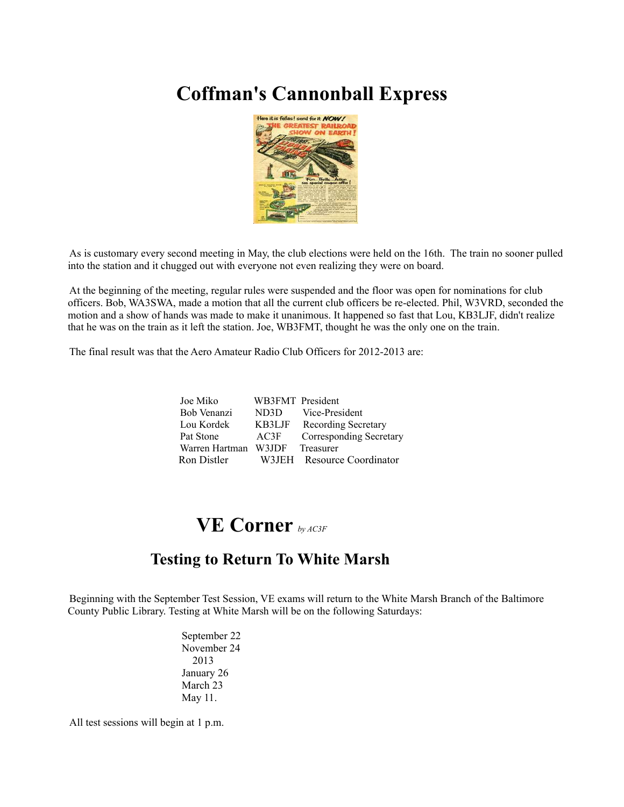# **Coffman's Cannonball Express**



As is customary every second meeting in May, the club elections were held on the 16th. The train no sooner pulled into the station and it chugged out with everyone not even realizing they were on board.

At the beginning of the meeting, regular rules were suspended and the floor was open for nominations for club officers. Bob, WA3SWA, made a motion that all the current club officers be re-elected. Phil, W3VRD, seconded the motion and a show of hands was made to make it unanimous. It happened so fast that Lou, KB3LJF, didn't realize that he was on the train as it left the station. Joe, WB3FMT, thought he was the only one on the train.

The final result was that the Aero Amateur Radio Club Officers for 2012-2013 are:

| Joe Miko             | WB3FMT President |                            |
|----------------------|------------------|----------------------------|
| Bob Venanzi          | ND3D             | Vice-President             |
| Lou Kordek           |                  | KB3LJF Recording Secretary |
| Pat Stone            | AC3F             | Corresponding Secretary    |
| Warren Hartman W3JDF |                  | Treasurer                  |
| Ron Distler          |                  | W3JEH Resource Coordinator |

## **VE Corner** *by AC3F*

## **Testing to Return To White Marsh**

Beginning with the September Test Session, VE exams will return to the White Marsh Branch of the Baltimore County Public Library. Testing at White Marsh will be on the following Saturdays:

> September 22 November 24 2013 January 26 March 23 May 11.

All test sessions will begin at 1 p.m.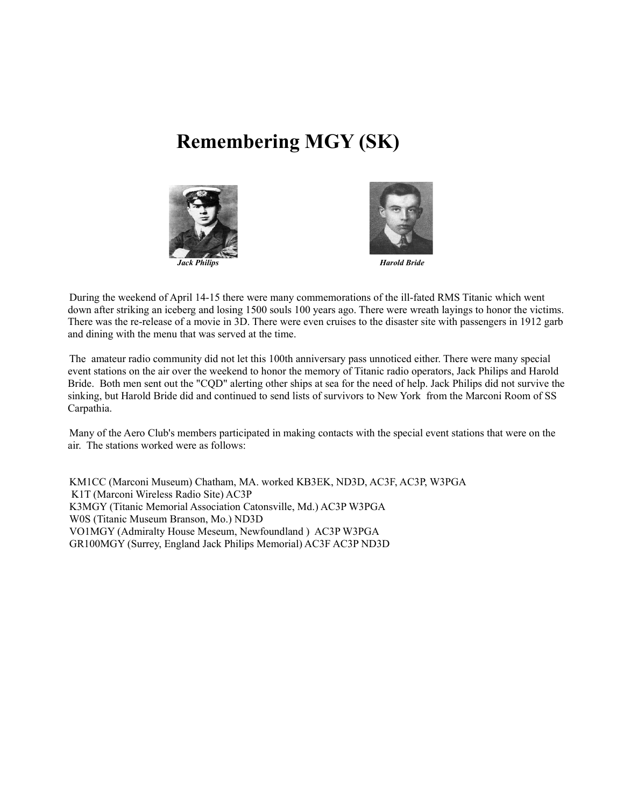# **Remembering MGY (SK)**





During the weekend of April 14-15 there were many commemorations of the ill-fated RMS Titanic which went down after striking an iceberg and losing 1500 souls 100 years ago. There were wreath layings to honor the victims. There was the re-release of a movie in 3D. There were even cruises to the disaster site with passengers in 1912 garb and dining with the menu that was served at the time.

The amateur radio community did not let this 100th anniversary pass unnoticed either. There were many special event stations on the air over the weekend to honor the memory of Titanic radio operators, Jack Philips and Harold Bride. Both men sent out the "CQD" alerting other ships at sea for the need of help. Jack Philips did not survive the sinking, but Harold Bride did and continued to send lists of survivors to New York from the Marconi Room of SS Carpathia.

Many of the Aero Club's members participated in making contacts with the special event stations that were on the air. The stations worked were as follows:

KM1CC (Marconi Museum) Chatham, MA. worked KB3EK, ND3D, AC3F, AC3P, W3PGA K1T (Marconi Wireless Radio Site) AC3P K3MGY (Titanic Memorial Association Catonsville, Md.) AC3P W3PGA W0S (Titanic Museum Branson, Mo.) ND3D VO1MGY (Admiralty House Meseum, Newfoundland ) AC3P W3PGA GR100MGY (Surrey, England Jack Philips Memorial) AC3F AC3P ND3D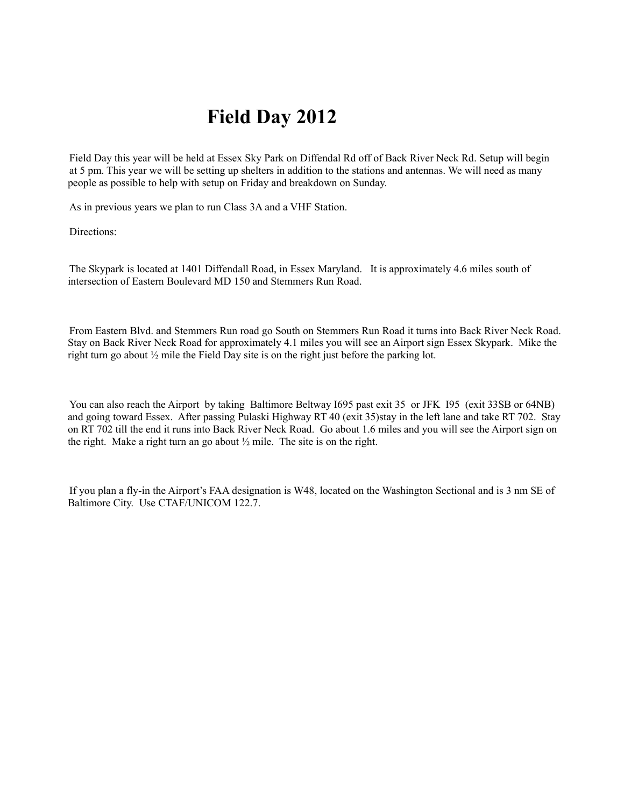# **Field Day 2012**

Field Day this year will be held at Essex Sky Park on Diffendal Rd off of Back River Neck Rd. Setup will begin at 5 pm. This year we will be setting up shelters in addition to the stations and antennas. We will need as many people as possible to help with setup on Friday and breakdown on Sunday.

As in previous years we plan to run Class 3A and a VHF Station.

Directions:

The Skypark is located at 1401 Diffendall Road, in Essex Maryland. It is approximately 4.6 miles south of intersection of Eastern Boulevard MD 150 and Stemmers Run Road.

From Eastern Blvd. and Stemmers Run road go South on Stemmers Run Road it turns into Back River Neck Road. Stay on Back River Neck Road for approximately 4.1 miles you will see an Airport sign Essex Skypark. Mike the right turn go about ½ mile the Field Day site is on the right just before the parking lot.

You can also reach the Airport by taking Baltimore Beltway I695 past exit 35 or JFK I95 (exit 33SB or 64NB) and going toward Essex. After passing Pulaski Highway RT 40 (exit 35)stay in the left lane and take RT 702. Stay on RT 702 till the end it runs into Back River Neck Road. Go about 1.6 miles and you will see the Airport sign on the right. Make a right turn an go about  $\frac{1}{2}$  mile. The site is on the right.

If you plan a fly-in the Airport's FAA designation is W48, located on the Washington Sectional and is 3 nm SE of Baltimore City. Use CTAF/UNICOM 122.7.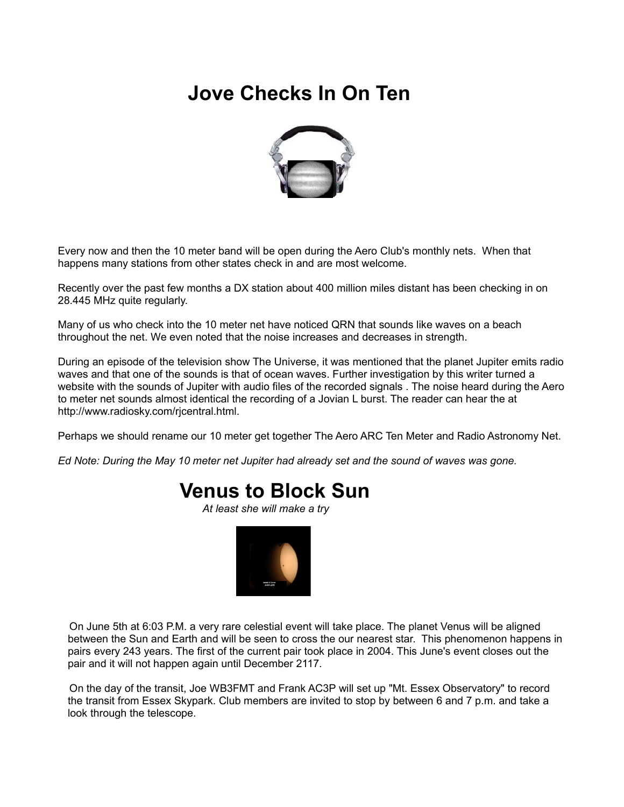# **Jove Checks In On Ten**



Every now and then the 10 meter band will be open during the Aero Club's monthly nets. When that happens many stations from other states check in and are most welcome.

Recently over the past few months a DX station about 400 million miles distant has been checking in on 28.445 MHz quite regularly.

Many of us who check into the 10 meter net have noticed QRN that sounds like waves on a beach throughout the net. We even noted that the noise increases and decreases in strength.

During an episode of the television show The Universe, it was mentioned that the planet Jupiter emits radio waves and that one of the sounds is that of ocean waves. Further investigation by this writer turned a website with the sounds of Jupiter with audio files of the recorded signals . The noise heard during the Aero to meter net sounds almost identical the recording of a Jovian L burst. The reader can hear the at http://www.radiosky.com/rjcentral.html.

Perhaps we should rename our 10 meter get together The Aero ARC Ten Meter and Radio Astronomy Net.

*Ed Note: During the May 10 meter net Jupiter had already set and the sound of waves was gone.*

## **Venus to Block Sun**

*At least she will make a try*



On June 5th at 6:03 P.M. a very rare celestial event will take place. The planet Venus will be aligned between the Sun and Earth and will be seen to cross the our nearest star. This phenomenon happens in pairs every 243 years. The first of the current pair took place in 2004. This June's event closes out the pair and it will not happen again until December 2117.

On the day of the transit, Joe WB3FMT and Frank AC3P will set up "Mt. Essex Observatory" to record the transit from Essex Skypark. Club members are invited to stop by between 6 and 7 p.m. and take a look through the telescope.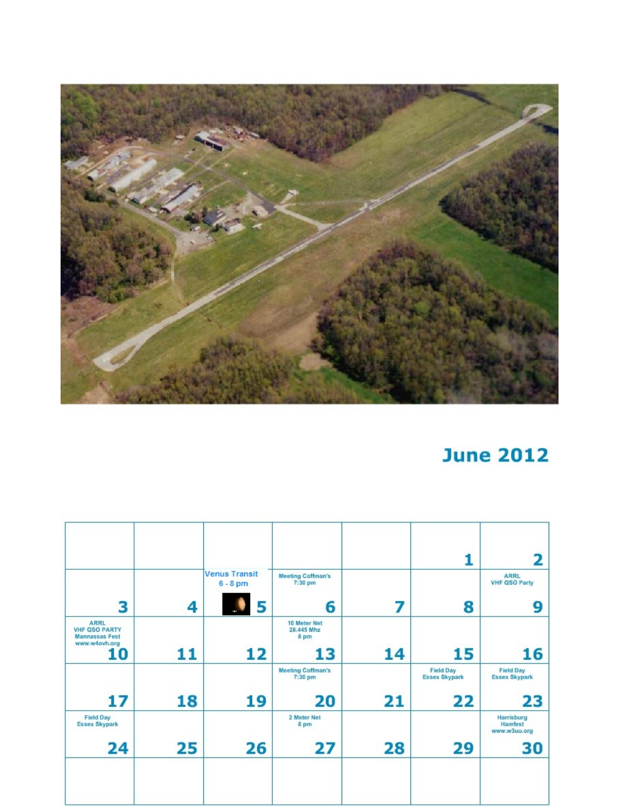

# **June 2012**

|                                                                               |    |                                         |                                         |    |                                          | 2                                        |
|-------------------------------------------------------------------------------|----|-----------------------------------------|-----------------------------------------|----|------------------------------------------|------------------------------------------|
| 3                                                                             |    | <b>Venus Transit</b><br>$6 - 8$ pm<br>5 | <b>Meeting Coffman's</b><br>7:30 pm     | 7  |                                          | <b>ARRL</b><br><b>VHF QSO Party</b><br>9 |
| <b>ARRL</b><br><b>VHF QSO PARTY</b><br><b>Mannassas Fest</b><br>www.w4ovh.org | 4  |                                         | 6<br>10 Meter Net<br>28.445 Mhz<br>8 pm |    | 8                                        |                                          |
| 10                                                                            | 11 | 12                                      | 13                                      | 14 | 15                                       | 16                                       |
|                                                                               |    |                                         | <b>Meeting Coffman's</b><br>$7:30$ pm   |    | <b>Field Day</b><br><b>Essex Skypark</b> | <b>Field Day</b><br><b>Essex Skypark</b> |
| 17                                                                            | 18 | 19                                      | 20                                      | 21 | 22                                       | 23                                       |
| <b>Field Day</b><br><b>Essex Skypark</b>                                      |    |                                         | 2 Meter Net<br>8 pm                     |    |                                          | Harrisburg<br>Hamfest<br>www.w3uu.org    |
| 24                                                                            | 25 | 26                                      | 27                                      | 28 | 29                                       | 30                                       |
|                                                                               |    |                                         |                                         |    |                                          |                                          |
|                                                                               |    |                                         |                                         |    |                                          |                                          |